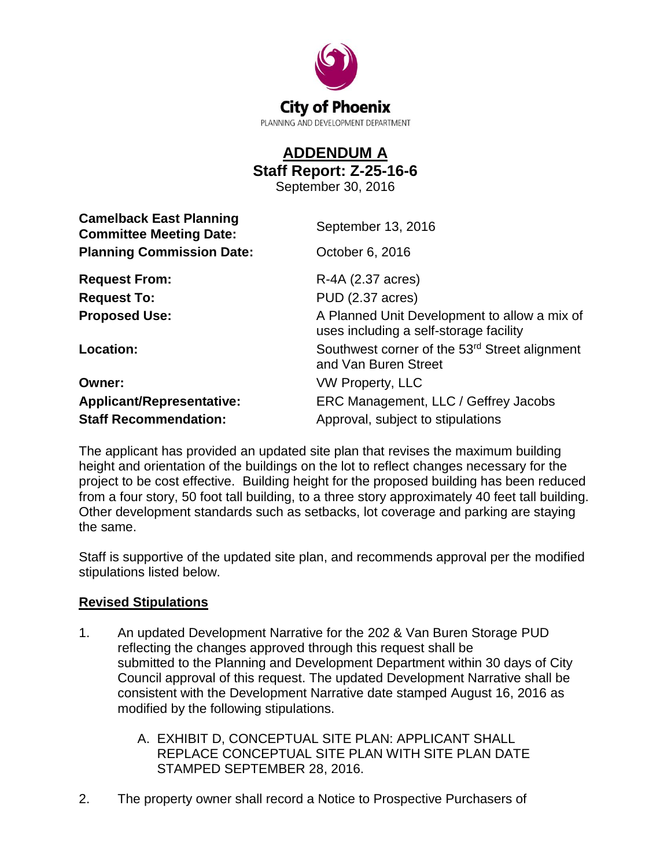

## **ADDENDUM A Staff Report: Z-25-16-6**

September 30, 2016

| <b>Camelback East Planning</b><br><b>Committee Meeting Date:</b> | September 13, 2016                                                                     |
|------------------------------------------------------------------|----------------------------------------------------------------------------------------|
| <b>Planning Commission Date:</b>                                 | October 6, 2016                                                                        |
| <b>Request From:</b>                                             | R-4A (2.37 acres)                                                                      |
| <b>Request To:</b>                                               | PUD (2.37 acres)                                                                       |
| <b>Proposed Use:</b>                                             | A Planned Unit Development to allow a mix of<br>uses including a self-storage facility |
| Location:                                                        | Southwest corner of the 53rd Street alignment<br>and Van Buren Street                  |
| Owner:                                                           | <b>VW Property, LLC</b>                                                                |
| <b>Applicant/Representative:</b>                                 | ERC Management, LLC / Geffrey Jacobs                                                   |
| <b>Staff Recommendation:</b>                                     | Approval, subject to stipulations                                                      |
|                                                                  |                                                                                        |

The applicant has provided an updated site plan that revises the maximum building height and orientation of the buildings on the lot to reflect changes necessary for the project to be cost effective. Building height for the proposed building has been reduced from a four story, 50 foot tall building, to a three story approximately 40 feet tall building. Other development standards such as setbacks, lot coverage and parking are staying the same.

Staff is supportive of the updated site plan, and recommends approval per the modified stipulations listed below.

## **Revised Stipulations**

- 1. An updated Development Narrative for the 202 & Van Buren Storage PUD reflecting the changes approved through this request shall be submitted to the Planning and Development Department within 30 days of City Council approval of this request. The updated Development Narrative shall be consistent with the Development Narrative date stamped August 16, 2016 as modified by the following stipulations.
	- A. EXHIBIT D, CONCEPTUAL SITE PLAN: APPLICANT SHALL REPLACE CONCEPTUAL SITE PLAN WITH SITE PLAN DATE STAMPED SEPTEMBER 28, 2016.
- 2. The property owner shall record a Notice to Prospective Purchasers of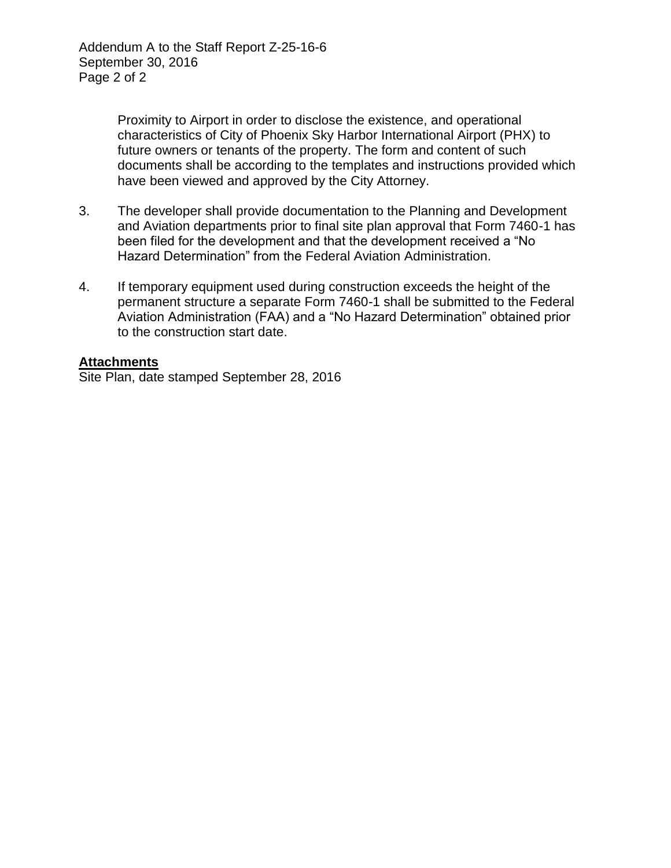Proximity to Airport in order to disclose the existence, and operational characteristics of City of Phoenix Sky Harbor International Airport (PHX) to future owners or tenants of the property. The form and content of such documents shall be according to the templates and instructions provided which have been viewed and approved by the City Attorney.

- 3. The developer shall provide documentation to the Planning and Development and Aviation departments prior to final site plan approval that Form 7460-1 has been filed for the development and that the development received a "No Hazard Determination" from the Federal Aviation Administration.
- 4. If temporary equipment used during construction exceeds the height of the permanent structure a separate Form 7460-1 shall be submitted to the Federal Aviation Administration (FAA) and a "No Hazard Determination" obtained prior to the construction start date.

## **Attachments**

Site Plan, date stamped September 28, 2016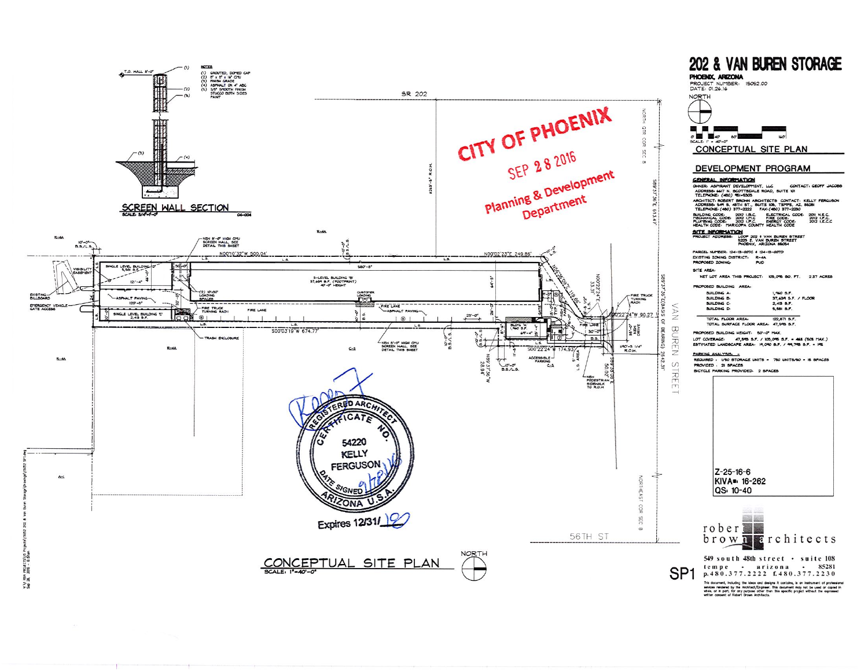